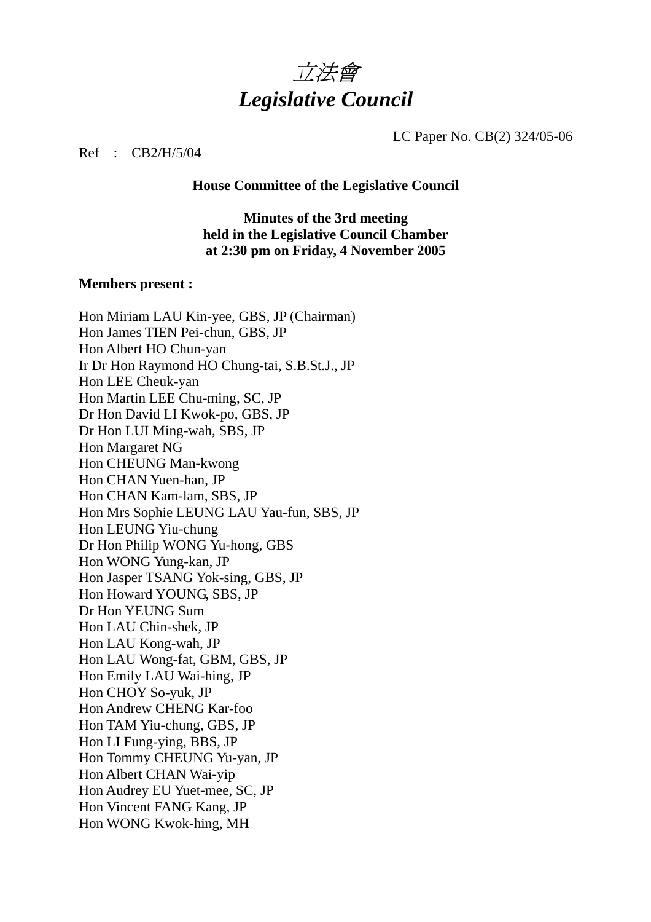

LC Paper No. CB(2) 324/05-06

### Ref : CB2/H/5/04

**House Committee of the Legislative Council** 

## **Minutes of the 3rd meeting held in the Legislative Council Chamber at 2:30 pm on Friday, 4 November 2005**

# **Members present :**

| Hon Miriam LAU Kin-yee, GBS, JP (Chairman)<br>Hon James TIEN Pei-chun, GBS, JP<br>Hon Albert HO Chun-yan<br>Ir Dr Hon Raymond HO Chung-tai, S.B.St.J., JP<br>Hon LEE Cheuk-yan<br>Hon Martin LEE Chu-ming, SC, JP<br>Dr Hon David LI Kwok-po, GBS, JP |
|-------------------------------------------------------------------------------------------------------------------------------------------------------------------------------------------------------------------------------------------------------|
| Dr Hon LUI Ming-wah, SBS, JP                                                                                                                                                                                                                          |
| Hon Margaret NG                                                                                                                                                                                                                                       |
| Hon CHEUNG Man-kwong                                                                                                                                                                                                                                  |
| Hon CHAN Yuen-han, JP                                                                                                                                                                                                                                 |
| Hon CHAN Kam-lam, SBS, JP                                                                                                                                                                                                                             |
| Hon Mrs Sophie LEUNG LAU Yau-fun, SBS, JP                                                                                                                                                                                                             |
| Hon LEUNG Yiu-chung                                                                                                                                                                                                                                   |
| Dr Hon Philip WONG Yu-hong, GBS                                                                                                                                                                                                                       |
| Hon WONG Yung-kan, JP                                                                                                                                                                                                                                 |
| Hon Jasper TSANG Yok-sing, GBS, JP                                                                                                                                                                                                                    |
| Hon Howard YOUNG, SBS, JP                                                                                                                                                                                                                             |
| Dr Hon YEUNG Sum                                                                                                                                                                                                                                      |
| Hon LAU Chin-shek, JP                                                                                                                                                                                                                                 |
| Hon LAU Kong-wah, JP                                                                                                                                                                                                                                  |
| Hon LAU Wong-fat, GBM, GBS, JP                                                                                                                                                                                                                        |
| Hon Emily LAU Wai-hing, JP                                                                                                                                                                                                                            |
| Hon CHOY So-yuk, JP                                                                                                                                                                                                                                   |
| Hon Andrew CHENG Kar-foo                                                                                                                                                                                                                              |
| Hon TAM Yiu-chung, GBS, JP                                                                                                                                                                                                                            |
| Hon LI Fung-ying, BBS, JP                                                                                                                                                                                                                             |
| Hon Tommy CHEUNG Yu-yan, JP                                                                                                                                                                                                                           |
| Hon Albert CHAN Wai-yip                                                                                                                                                                                                                               |
| Hon Audrey EU Yuet-mee, SC, JP                                                                                                                                                                                                                        |
| Hon Vincent FANG Kang, JP                                                                                                                                                                                                                             |
| Hon WONG Kwok-hing, MH                                                                                                                                                                                                                                |
|                                                                                                                                                                                                                                                       |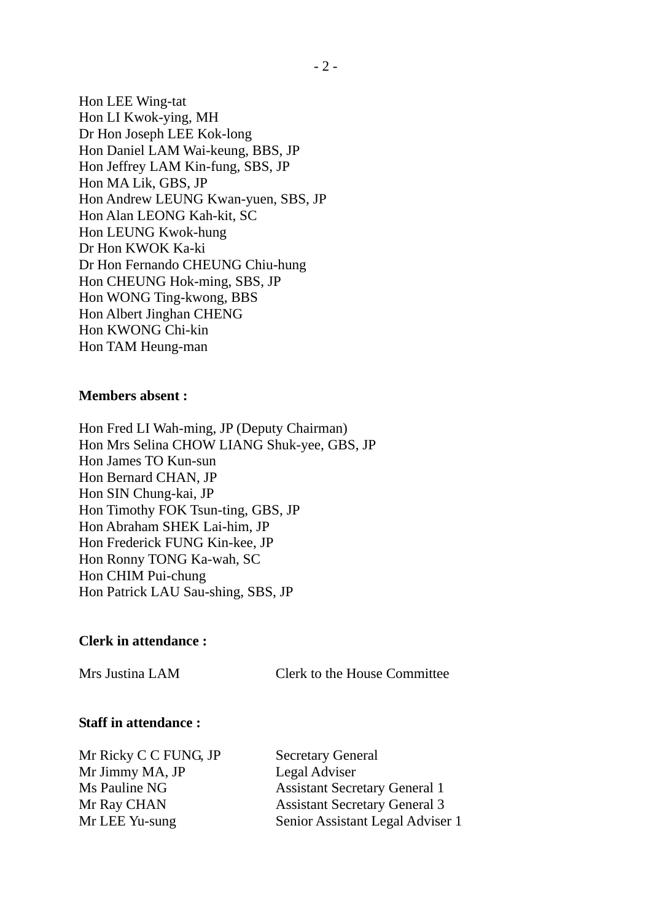Hon LEE Wing-tat Hon LI Kwok-ying, MH Dr Hon Joseph LEE Kok-long Hon Daniel LAM Wai-keung, BBS, JP Hon Jeffrey LAM Kin-fung, SBS, JP Hon MA Lik, GBS, JP Hon Andrew LEUNG Kwan-yuen, SBS, JP Hon Alan LEONG Kah-kit, SC Hon LEUNG Kwok-hung Dr Hon KWOK Ka-ki Dr Hon Fernando CHEUNG Chiu-hung Hon CHEUNG Hok-ming, SBS, JP Hon WONG Ting-kwong, BBS Hon Albert Jinghan CHENG Hon KWONG Chi-kin Hon TAM Heung-man

### **Members absent :**

Hon Fred LI Wah-ming, JP (Deputy Chairman) Hon Mrs Selina CHOW LIANG Shuk-yee, GBS, JP Hon James TO Kun-sun Hon Bernard CHAN, JP Hon SIN Chung-kai, JP Hon Timothy FOK Tsun-ting, GBS, JP Hon Abraham SHEK Lai-him, JP Hon Frederick FUNG Kin-kee, JP Hon Ronny TONG Ka-wah, SC Hon CHIM Pui-chung Hon Patrick LAU Sau-shing, SBS, JP

### **Clerk in attendance :**

Mrs Justina LAM Clerk to the House Committee

#### **Staff in attendance :**

Mr Ricky C C FUNG, JP Secretary General Mr Jimmy MA, JP Legal Adviser

Ms Pauline NG Assistant Secretary General 1 Mr Ray CHAN Assistant Secretary General 3 Mr LEE Yu-sung Senior Assistant Legal Adviser 1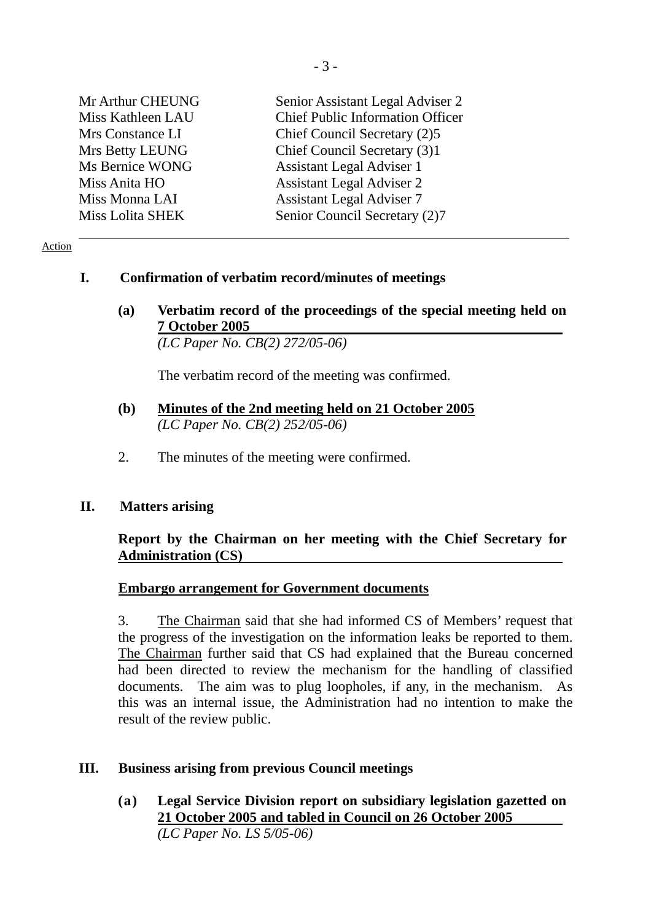| Mr Arthur CHEUNG  | Senior Assistant Legal Adviser 2        |
|-------------------|-----------------------------------------|
| Miss Kathleen LAU | <b>Chief Public Information Officer</b> |
| Mrs Constance LI  | Chief Council Secretary (2)5            |
| Mrs Betty LEUNG   | Chief Council Secretary (3)1            |
| Ms Bernice WONG   | <b>Assistant Legal Adviser 1</b>        |
| Miss Anita HO     | <b>Assistant Legal Adviser 2</b>        |
| Miss Monna LAI    | <b>Assistant Legal Adviser 7</b>        |
| Miss Lolita SHEK  | Senior Council Secretary (2)7           |

#### Action

### **I. Confirmation of verbatim record/minutes of meetings**

**(a) Verbatim record of the proceedings of the special meeting held on 7 October 2005**   *(LC Paper No. CB(2) 272/05-06)* 

The verbatim record of the meeting was confirmed.

- **(b) Minutes of the 2nd meeting held on 21 October 2005**  *(LC Paper No. CB(2) 252/05-06)*
- 2. The minutes of the meeting were confirmed.

### **II. Matters arising**

# **Report by the Chairman on her meeting with the Chief Secretary for Administration (CS)**

### **Embargo arrangement for Government documents**

3. The Chairman said that she had informed CS of Members' request that the progress of the investigation on the information leaks be reported to them. The Chairman further said that CS had explained that the Bureau concerned had been directed to review the mechanism for the handling of classified documents. The aim was to plug loopholes, if any, in the mechanism. As this was an internal issue, the Administration had no intention to make the result of the review public.

# **III. Business arising from previous Council meetings**

**(a) Legal Service Division report on subsidiary legislation gazetted on 21 October 2005 and tabled in Council on 26 October 2005** *(LC Paper No. LS 5/05-06)*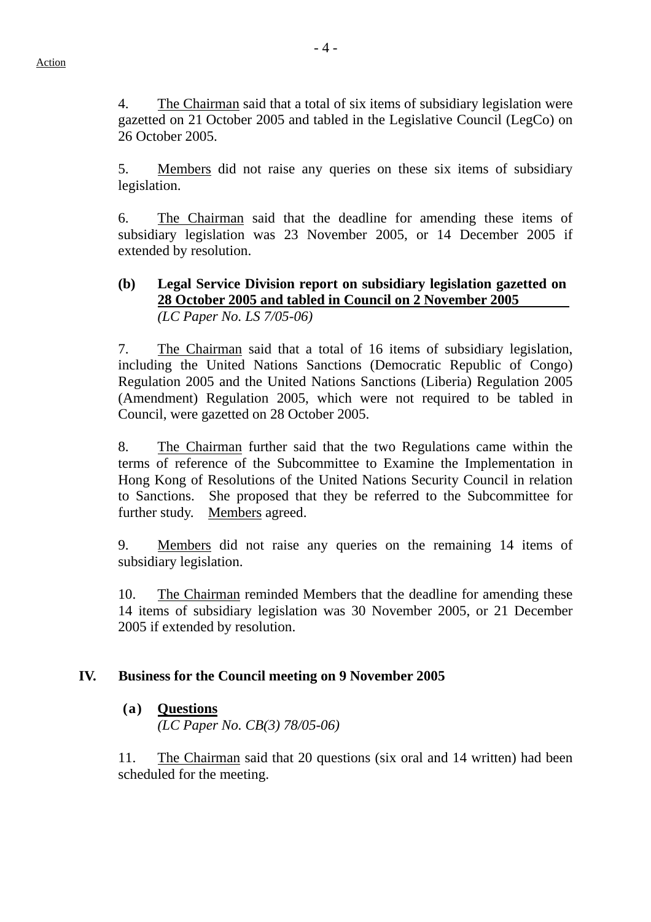4. The Chairman said that a total of six items of subsidiary legislation were gazetted on 21 October 2005 and tabled in the Legislative Council (LegCo) on 26 October 2005.

5. Members did not raise any queries on these six items of subsidiary legislation.

6. The Chairman said that the deadline for amending these items of subsidiary legislation was 23 November 2005, or 14 December 2005 if extended by resolution.

### **(b) Legal Service Division report on subsidiary legislation gazetted on 28 October 2005 and tabled in Council on 2 November 2005** *(LC Paper No. LS 7/05-06)*

7. The Chairman said that a total of 16 items of subsidiary legislation, including the United Nations Sanctions (Democratic Republic of Congo) Regulation 2005 and the United Nations Sanctions (Liberia) Regulation 2005 (Amendment) Regulation 2005, which were not required to be tabled in Council, were gazetted on 28 October 2005.

8. The Chairman further said that the two Regulations came within the terms of reference of the Subcommittee to Examine the Implementation in Hong Kong of Resolutions of the United Nations Security Council in relation to Sanctions. She proposed that they be referred to the Subcommittee for further study. Members agreed.

9. Members did not raise any queries on the remaining 14 items of subsidiary legislation.

10. The Chairman reminded Members that the deadline for amending these 14 items of subsidiary legislation was 30 November 2005, or 21 December 2005 if extended by resolution.

# **IV. Business for the Council meeting on 9 November 2005**

# **(a) Questions** *(LC Paper No. CB(3) 78/05-06)*

11. The Chairman said that 20 questions (six oral and 14 written) had been scheduled for the meeting.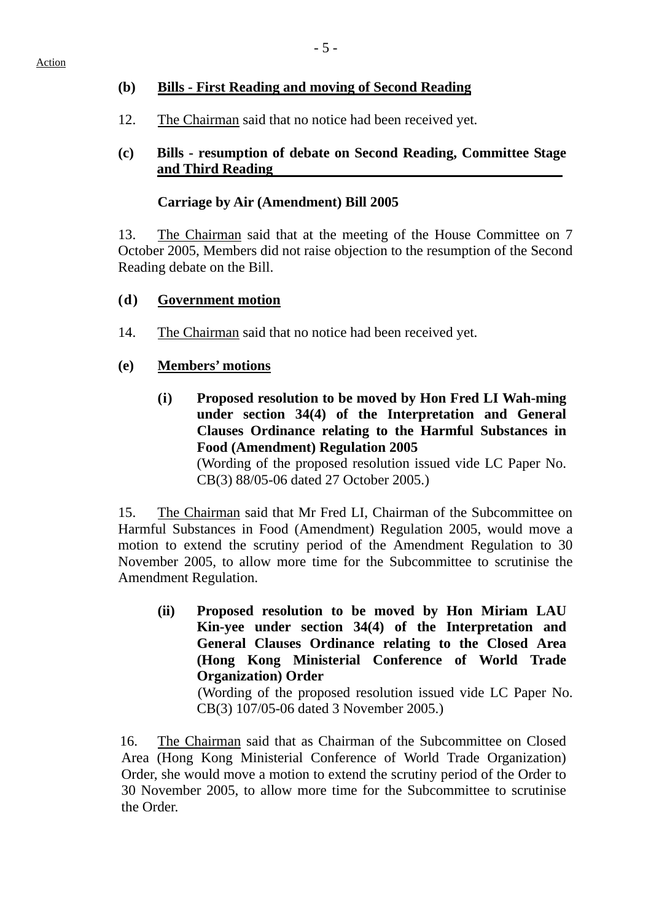# **(b) Bills - First Reading and moving of Second Reading**

12. The Chairman said that no notice had been received yet.

# **(c) Bills - resumption of debate on Second Reading, Committee Stage and Third Reading**

# **Carriage by Air (Amendment) Bill 2005**

13. The Chairman said that at the meeting of the House Committee on 7 October 2005, Members did not raise objection to the resumption of the Second Reading debate on the Bill.

# **(d) Government motion**

14. The Chairman said that no notice had been received yet.

### **(e) Members' motions**

**(i) Proposed resolution to be moved by Hon Fred LI Wah-ming under section 34(4) of the Interpretation and General Clauses Ordinance relating to the Harmful Substances in Food (Amendment) Regulation 2005** 

(Wording of the proposed resolution issued vide LC Paper No. CB(3) 88/05-06 dated 27 October 2005.)

15. The Chairman said that Mr Fred LI, Chairman of the Subcommittee on Harmful Substances in Food (Amendment) Regulation 2005, would move a motion to extend the scrutiny period of the Amendment Regulation to 30 November 2005, to allow more time for the Subcommittee to scrutinise the Amendment Regulation.

**(ii) Proposed resolution to be moved by Hon Miriam LAU Kin-yee under section 34(4) of the Interpretation and General Clauses Ordinance relating to the Closed Area (Hong Kong Ministerial Conference of World Trade Organization) Order** 

(Wording of the proposed resolution issued vide LC Paper No. CB(3) 107/05-06 dated 3 November 2005.)

16. The Chairman said that as Chairman of the Subcommittee on Closed Area (Hong Kong Ministerial Conference of World Trade Organization) Order, she would move a motion to extend the scrutiny period of the Order to 30 November 2005, to allow more time for the Subcommittee to scrutinise the Order.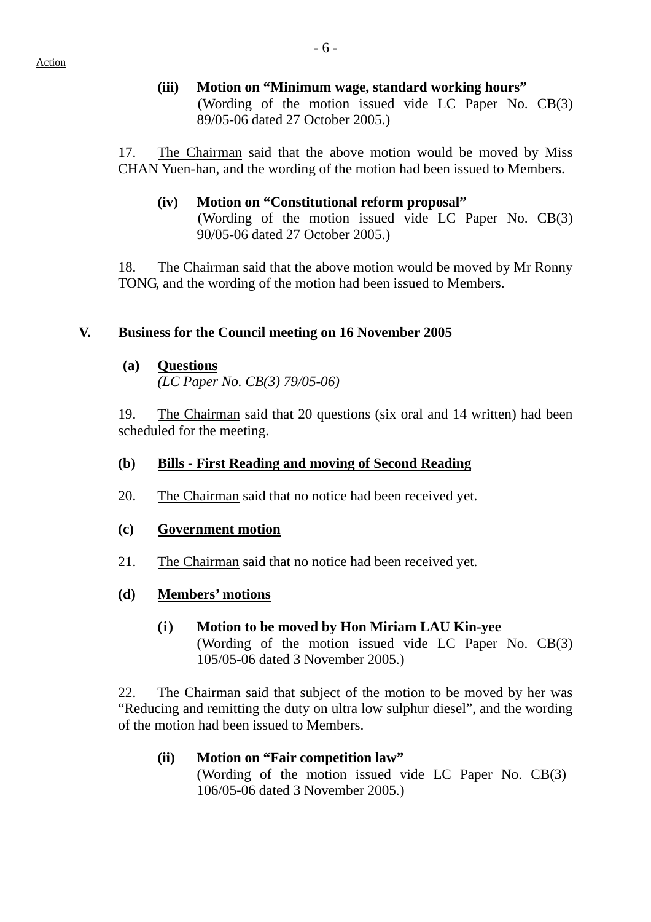# **(iii) Motion on "Minimum wage, standard working hours"**  (Wording of the motion issued vide LC Paper No. CB(3) 89/05-06 dated 27 October 2005.)

17. The Chairman said that the above motion would be moved by Miss CHAN Yuen-han, and the wording of the motion had been issued to Members.

### **(iv) Motion on "Constitutional reform proposal"**  (Wording of the motion issued vide LC Paper No. CB(3) 90/05-06 dated 27 October 2005.)

18. The Chairman said that the above motion would be moved by Mr Ronny TONG, and the wording of the motion had been issued to Members.

# **V. Business for the Council meeting on 16 November 2005**

**(a) Questions**

 *(LC Paper No. CB(3) 79/05-06)* 

19. The Chairman said that 20 questions (six oral and 14 written) had been scheduled for the meeting.

# **(b) Bills - First Reading and moving of Second Reading**

20. The Chairman said that no notice had been received yet.

### **(c) Government motion**

- 21. The Chairman said that no notice had been received yet.
- **(d) Members' motions**
	- **(i) Motion to be moved by Hon Miriam LAU Kin-yee**  (Wording of the motion issued vide LC Paper No. CB(3) 105/05-06 dated 3 November 2005.)

22. The Chairman said that subject of the motion to be moved by her was "Reducing and remitting the duty on ultra low sulphur diesel", and the wording of the motion had been issued to Members.

 **(ii) Motion on "Fair competition law"**  (Wording of the motion issued vide LC Paper No. CB(3) 106/05-06 dated 3 November 2005.)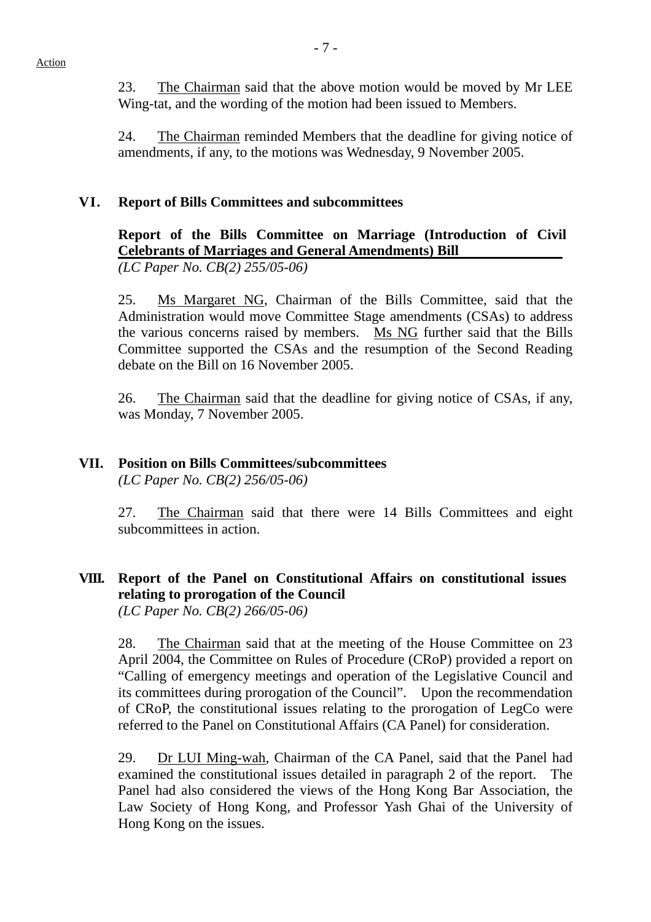23. The Chairman said that the above motion would be moved by Mr LEE Wing-tat, and the wording of the motion had been issued to Members.

24. The Chairman reminded Members that the deadline for giving notice of amendments, if any, to the motions was Wednesday, 9 November 2005.

### **VI. Report of Bills Committees and subcommittees**

**Report of the Bills Committee on Marriage (Introduction of Civil Celebrants of Marriages and General Amendments) Bill** 

*(LC Paper No. CB(2) 255/05-06)*

25. Ms Margaret NG, Chairman of the Bills Committee, said that the Administration would move Committee Stage amendments (CSAs) to address the various concerns raised by members. Ms NG further said that the Bills Committee supported the CSAs and the resumption of the Second Reading debate on the Bill on 16 November 2005.

26. The Chairman said that the deadline for giving notice of CSAs, if any, was Monday, 7 November 2005.

# **VII. Position on Bills Committees/subcommittees**

*(LC Paper No. CB(2) 256/05-06)*

27. The Chairman said that there were 14 Bills Committees and eight subcommittees in action.

# **VIII. Report of the Panel on Constitutional Affairs on constitutional issues relating to prorogation of the Council**

*(LC Paper No. CB(2) 266/05-06)*

28. The Chairman said that at the meeting of the House Committee on 23 April 2004, the Committee on Rules of Procedure (CRoP) provided a report on "Calling of emergency meetings and operation of the Legislative Council and its committees during prorogation of the Council". Upon the recommendation of CRoP, the constitutional issues relating to the prorogation of LegCo were referred to the Panel on Constitutional Affairs (CA Panel) for consideration.

29. Dr LUI Ming-wah, Chairman of the CA Panel, said that the Panel had examined the constitutional issues detailed in paragraph 2 of the report. The Panel had also considered the views of the Hong Kong Bar Association, the Law Society of Hong Kong, and Professor Yash Ghai of the University of Hong Kong on the issues.